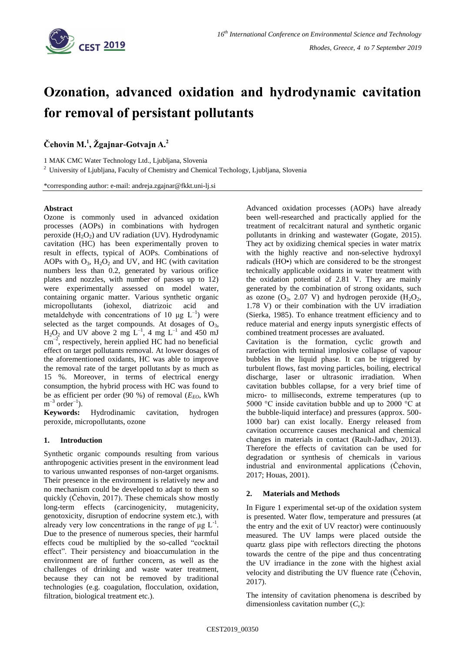

# **Ozonation, advanced oxidation and hydrodynamic cavitation for removal of persistant pollutants**

**Čehovin M.<sup>1</sup> , Žgajnar-Gotvajn A.<sup>2</sup>**

1 MAK CMC Water Technology Ltd., Ljubljana, Slovenia

<sup>2</sup> University of Ljubljana, Faculty of Chemistry and Chemical Techology, Ljubljana, Slovenia

\*corresponding author: e-mail: andreja.zgajnar@fkkt.uni-lj.si

## **Abstract**

Ozone is commonly used in advanced oxidation processes (AOPs) in combinations with hydrogen peroxide  $(H_2O_2)$  and UV radiation (UV). Hydrodynamic cavitation (HC) has been experimentally proven to result in effects, typical of AOPs. Combinations of AOPs with  $O_3$ ,  $H_2O_2$  and UV, and HC (with cavitation numbers less than 0.2, generated by various orifice plates and nozzles, with number of passes up to 12) were experimentally assessed on model water, containing organic matter. Various synthetic organic micropollutants (iohexol, diatrizoic acid and metaldehyde with concentrations of 10  $\mu$ g L<sup>-1</sup>) were selected as the target compounds. At dosages of  $O<sub>3</sub>$ ,  $H_2O_2$  and UV above 2 mg L<sup>-1</sup>, 4 mg L<sup>-1</sup> and 450 mJ cm–2 , respectively, herein applied HC had no beneficial effect on target pollutants removal. At lower dosages of the aforementioned oxidants, HC was able to improve the removal rate of the target pollutants by as much as 15 %. Moreover, in terms of electrical energy consumption, the hybrid process with HC was found to be as efficient per order (90 %) of removal  $(E_{FO}, \text{kWh})$  $m^{-3}$  order<sup>-1</sup>).

**Keywords:** Hydrodinamic cavitation, hydrogen peroxide, micropollutants, ozone

## **1. Introduction**

Synthetic organic compounds resulting from various anthropogenic activities present in the environment lead to various unwanted responses of non-target organisms. Their presence in the environment is relatively new and no mechanism could be developed to adapt to them so quickly (Čehovin, 2017). These chemicals show mostly long-term effects (carcinogenicity, mutagenicity, genotoxicity, disruption of endocrine system etc.), with already very low concentrations in the range of  $\mu$ g L<sup>-1</sup>. Due to the presence of numerous species, their harmful effects coud be multiplied by the so-called "cocktail effect". Their persistency and bioaccumulation in the environment are of further concern, as well as the challenges of drinking and waste water treatment, because they can not be removed by traditional technologies (e.g. coagulation, flocculation, oxidation, filtration, biological treatment etc.).

Advanced oxidation processes (AOPs) have already been well-researched and practically applied for the treatment of recalcitrant natural and synthetic organic pollutants in drinking and wastewater (Gogate, 2015). They act by oxidizing chemical species in water matrix with the highly reactive and non-selective hydroxyl radicals (HO•) which are considered to be the strongest technically applicable oxidants in water treatment with the oxidation potential of 2.81 V. They are mainly generated by the combination of strong oxidants, such as ozone  $(O_3, 2.07 \text{ V})$  and hydrogen peroxide  $(H_2O_2,$ 1.78 V) or their combination with the UV irradiation (Sierka, 1985). To enhance treatment efficiency and to reduce material and energy inputs synergistic effects of combined treatment processes are avaluated. Cavitation is the formation, cyclic growth and

rarefaction with terminal implosive collapse of vapour bubbles in the liquid phase. It can be triggered by turbulent flows, fast moving particles, boiling, electrical discharge, laser or ultrasonic irradiation. When cavitation bubbles collapse, for a very brief time of micro- to milliseconds, extreme temperatures (up to 5000 °C inside cavitation bubble and up to 2000 °C at the bubble-liquid interface) and pressures (approx. 500- 1000 bar) can exist locally. Energy released from cavitation occurrence causes mechanical and chemical changes in materials in contact (Rault-Jadhav, 2013). Therefore the effects of cavitation can be used for degradation or synthesis of chemicals in various industrial and environmental applications (Čehovin, 2017; Houas, 2001).

## **2. Materials and Methods**

In Figure 1 experimental set-up of the oxidation system is presented. Water flow, temperature and pressures (at the entry and the exit of UV reactor) were continuously measured. The UV lamps were placed outside the quartz glass pipe with reflectors directing the photons towards the centre of the pipe and thus concentrating the UV irradiance in the zone with the highest axial velocity and distributing the UV fluence rate (Čehovin, 2017).

The intensity of cavitation phenomena is described by dimensionless cavitation number (*Cv*):